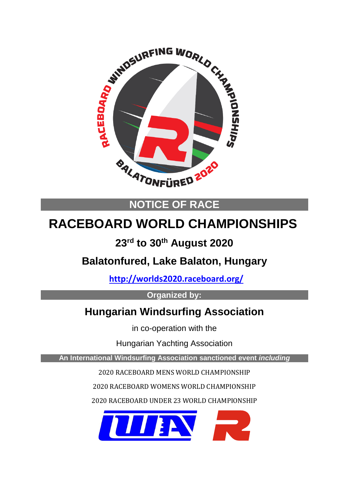

# **NOTICE OF RACE**

# **RACEBOARD WORLD CHAMPIONSHIPS**

# **23rd to 30th August 2020**

**Balatonfured, Lake Balaton, Hungary**

 **<http://worlds2020.raceboard.org/>**

**Organized by:**

# **Hungarian Windsurfing Association**

in co-operation with the

Hungarian Yachting Association

**An International Windsurfing Association sanctioned event** *including*

2020 RACEBOARD MENS WORLD CHAMPIONSHIP

2020 RACEBOARD WOMENS WORLD CHAMPIONSHIP

2020 RACEBOARD UNDER 23 WORLD CHAMPIONSHIP

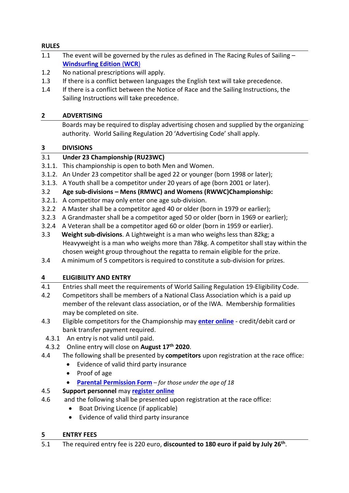# **RULES**

- 1.1 The event will be governed by the rules as defined in The Racing Rules of Sailing **[Windsurfing Edition](https://www.sailing.org/tools/documents/RacingRulesofSailingWindsurfingEditionfor20172020-%5B24077%5D.pdf)** (**WCR**)
- 1.2 No national prescriptions will apply.
- 1.3 If there is a conflict between languages the English text will take precedence.
- 1.4 If there is a conflict between the Notice of Race and the Sailing Instructions, the Sailing Instructions will take precedence.

# **2 ADVERTISING**

Boards may be required to display advertising chosen and supplied by the organizing authority. World Sailing Regulation 20 'Advertising Code' shall apply.

# **3 DIVISIONS**

# 3.1 **Under 23 Championship (RU23WC)**

- 3.1.1. This championship is open to both Men and Women.
- 3.1.2. An Under 23 competitor shall be aged 22 or younger (born 1998 or later);
- 3.1.3. A Youth shall be a competitor under 20 years of age (born 2001 or later).
- 3.2 **Age sub-divisions – Mens (RMWC) and Womens (RWWC)Championship:**
- 3.2.1. A competitor may only enter one age sub-division.
- 3.2.2 A Master shall be a competitor aged 40 or older (born in 1979 or earlier);
- 3.2.3 A Grandmaster shall be a competitor aged 50 or older (born in 1969 or earlier);
- 3.2.4 A Veteran shall be a competitor aged 60 or older (born in 1959 or earlier).
- 3.3 **Weight sub-divisions**. A Lightweight is a man who weighs less than 82kg; a Heavyweight is a man who weighs more than 78kg. A competitor shall stay within the chosen weight group throughout the regatta to remain eligible for the prize.
- 3.4 A minimum of 5 competitors is required to constitute a sub-division for prizes.

# **4 ELIGIBILITY AND ENTRY**

- 4.1 Entries shall meet the requirements of World Sailing Regulation 19-Eligibility Code.
- 4.2 Competitors shall be members of a National Class Association which is a paid up member of the relevant class association, or of the IWA. Membership formalities may be completed on site.
- 4.3 Eligible competitors for the Championship may **[enter online](https://registration.internationalwindsurfing.com/en/events/register/id/296)** credit/debit card or bank transfer payment required.
	- 4.3.1 An entry is not valid until paid.
- 4.3.2 Online entry will close on **August 17th 2020**.
- 4.4 The following shall be presented by **competitors** upon registration at the race office:
	- Evidence of valid third party insurance
	- Proof of age
	- **[Parental Permission Form](http://internationalwindsurfing.com/userfiles/documents/Parental_Permission_Form_Raceboard_WC_2020.pdf)** *for those under the age of 18*

# 4.5 **Support personnel** may **[register online](https://registration.internationalwindsurfing.com/en/events/register/id/297)**

- 4.6 and the following shall be presented upon registration at the race office:
	- Boat Driving Licence (if applicable)
	- Evidence of valid third party insurance

# **5 ENTRY FEES**

5.1 The required entry fee is 220 euro, **discounted to 180 euro if paid by July 26th**.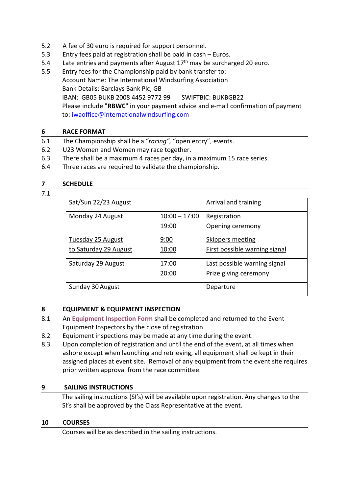- 5.2 A fee of 30 euro is required for support personnel.
- 5.3 Entry fees paid at registration shall be paid in cash Euros.
- 5.4 Late entries and payments after August  $17<sup>th</sup>$  may be surcharged 20 euro.
- 5.5 Entry fees for the Championship paid by bank transfer to: Account Name: The International Windsurfing Association Bank Details: Barclays Bank Plc, GB IBAN: GB05 BUKB 2008 4452 9772 99 SWIFTBIC: BUKBGB22 Please include "**RBWC**" in your payment advice and e-mail confirmation of payment to: [iwaoffice@internationalwindsurfing.com](mailto:iwaoffice@internationalwindsurfing.com)

# **6 RACE FORMAT**

- 6.1 The Championship shall be a "*racing",* "open entry", events.
- 6.2 U23 Women and Women may race together.
- 6.3 There shall be a maximum 4 races per day, in a maximum 15 race series.
- 6.4 Three races are required to validate the championship.

# **7 SCHEDULE**

7.1

| Sat/Sun 22/23 August  |                 | Arrival and training          |
|-----------------------|-----------------|-------------------------------|
| Monday 24 August      | $10:00 - 17:00$ | Registration                  |
|                       | 19:00           | Opening ceremony              |
| Tuesday 25 August     | 9:00            | Skippers meeting              |
| to Saturday 29 August | 10:00           | First possible warning signal |
| Saturday 29 August    | 17:00           | Last possible warning signal  |
|                       | 20:00           | Prize giving ceremony         |
| Sunday 30 August      |                 | Departure                     |

# **8 EQUIPMENT & EQUIPMENT INSPECTION**

- 8.1 An **[Equipment Inspection Form](https://form.jotformeu.com/90302675629359)** shall be completed and returned to the Event Equipment Inspectors by the close of registration.
- 8.2 Equipment inspections may be made at any time during the event.
- 8.3 Upon completion of registration and until the end of the event, at all times when ashore except when launching and retrieving, all equipment shall be kept in their assigned places at event site. Removal of any equipment from the event site requires prior written approval from the race committee.

# **9 SAILING INSTRUCTIONS**

The sailing instructions (SI's) will be available upon registration. Any changes to the SI's shall be approved by the Class Representative at the event.

# **10 COURSES**

Courses will be as described in the sailing instructions.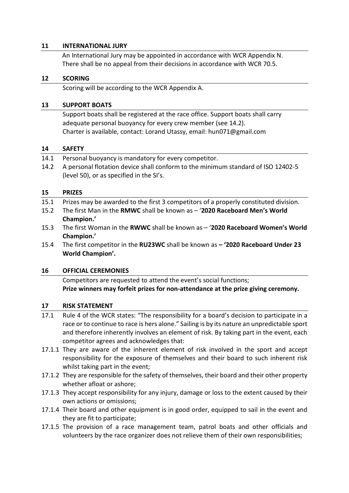#### **11 INTERNATIONAL JURY**

An International Jury may be appointed in accordance with WCR Appendix N. There shall be no appeal from their decisions in accordance with WCR 70.5.

#### **12 SCORING**

Scoring will be according to the WCR Appendix A.

#### **13 SUPPORT BOATS**

Support boats shall be registered at the race office. Support boats shall carry adequate personal buoyancy for every crew member (see 14.2). Charter is available, contact: Lorand Utassy, email: hun071@gmail.com

#### **14 SAFETY**

- 14.1 Personal buoyancy is mandatory for every competitor.
- 14.2 A personal flotation device shall conform to the minimum standard of ISO 12402-5 (level 50), or as specified in the SI's.

#### **15 PRIZES**

- 15.1 Prizes may be awarded to the first 3 competitors of a properly constituted division.
- 15.2 The first Man in the **RMWC** shall be known as '**2020 Raceboard Men's World Champion.'**
- 15.3 The first Woman in the **RWWC** shall be known as '**2020 Raceboard Women's World Champion.'**
- 15.4 The first competitor in the **RU23WC** shall be known as **– '2020 Raceboard Under 23 World Champion'.**

#### **16 OFFICIAL CEREMONIES**

Competitors are requested to attend the event's social functions; **Prize winners may forfeit prizes for non-attendance at the prize giving ceremony.**

#### **17 RISK STATEMENT**

- 17.1 Rule 4 of the WCR states: "The responsibility for a board's decision to participate in a race or to continue to race is hers alone." Sailing is by its nature an unpredictable sport and therefore inherently involves an element of risk. By taking part in the event, each competitor agrees and acknowledges that:
- 17.1.1 They are aware of the inherent element of risk involved in the sport and accept responsibility for the exposure of themselves and their board to such inherent risk whilst taking part in the event;
- 17.1.2 They are responsible for the safety of themselves, their board and their other property whether afloat or ashore;
- 17.1.3 They accept responsibility for any injury, damage or loss to the extent caused by their own actions or omissions;
- 17.1.4 Their board and other equipment is in good order, equipped to sail in the event and they are fit to participate;
- 17.1.5 The provision of a race management team, patrol boats and other officials and volunteers by the race organizer does not relieve them of their own responsibilities;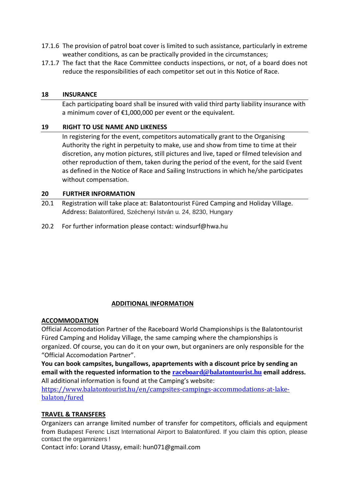- 17.1.6 The provision of patrol boat cover is limited to such assistance, particularly in extreme weather conditions, as can be practically provided in the circumstances;
- 17.1.7 The fact that the Race Committee conducts inspections, or not, of a board does not reduce the responsibilities of each competitor set out in this Notice of Race.

### **18 INSURANCE**

Each participating board shall be insured with valid third party liability insurance with a minimum cover of €1,000,000 per event or the equivalent.

### **19 RIGHT TO USE NAME AND LIKENESS**

In registering for the event, competitors automatically grant to the Organising Authority the right in perpetuity to make, use and show from time to time at their discretion, any motion pictures, still pictures and live, taped or filmed television and other reproduction of them, taken during the period of the event, for the said Event as defined in the Notice of Race and Sailing Instructions in which he/she participates without compensation.

### **20 FURTHER INFORMATION**

- 20.1 Registration will take place at: Balatontourist Füred Camping and Holiday Village. Address: Balatonfüred, Széchenyi István u. 24, 8230, Hungary
- 20.2 For further information please contact: windsurf@hwa.hu

# **ADDITIONAL INFORMATION**

#### **ACCOMMODATION**

Official Accomodation Partner of the Raceboard World Championships is the Balatontourist Füred Camping and Holiday Village, the same camping where the championships is organized. Of course, you can do it on your own, but organiners are only responsible for the "Official Accomodation Partner".

**You can book campsites, bungallows, apaprtements with a discount price by sending an email with the requested information to the [raceboard@balatontourist.hu](mailto:raceboard@balatontourist.hu) email address.** All additional information is found at the Camping's website:

[https://www.balatontourist.hu/en/campsites-campings-accommodations-at-lake](https://www.balatontourist.hu/en/campsites-campings-accommodations-at-lake-balaton/fured)[balaton/fured](https://www.balatontourist.hu/en/campsites-campings-accommodations-at-lake-balaton/fured)

# **TRAVEL & TRANSFERS**

Organizers can arrange limited number of transfer for competitors, officials and equipment from Budapest Ferenc Liszt International Airport to Balatonfüred. If you claim this option, please contact the orgamnizers !

Contact info: Lorand Utassy, email: hun071@gmail.com